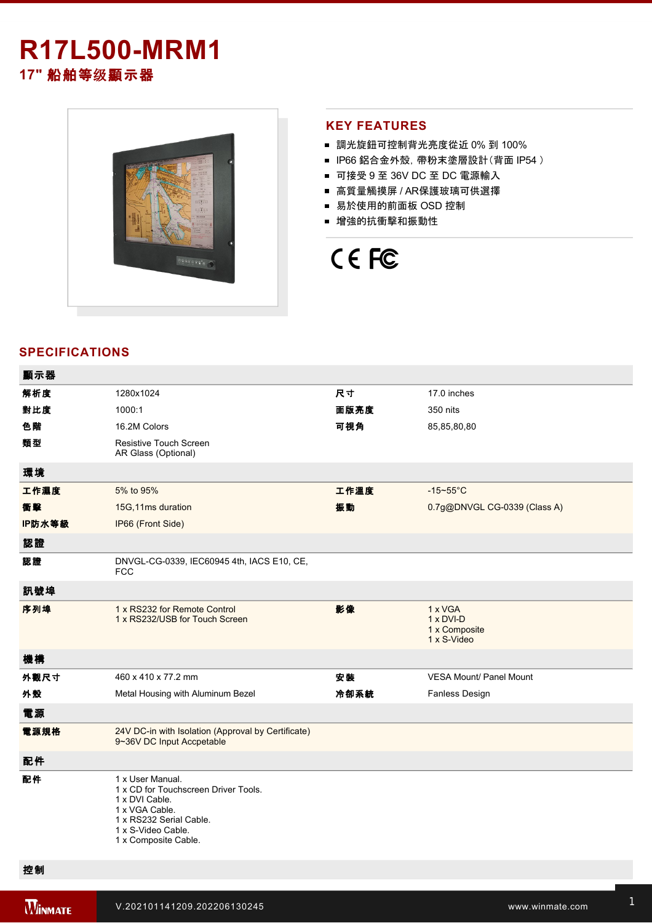# **R17L500-MRM1 17"** 船舶等级顯示器



## **KEY FEATURES**

- 調光旋鈕可控制背光亮度從近 0% 到 100%
- IP66 鋁合金外殼, 帶粉末塗層設計(背面 IP54)
- 可接受 9 至 36V DC 至 DC 電源輸入
- 高質量觸摸屏 / AR保護玻璃可供選擇
- 易於使用的前面板 OSD 控制
- 增強的抗衝擊和振動性

# CE FC

# **SPECIFICATIONS**

| 顯示器    |                                                                                                                                                                       |      |                                                             |
|--------|-----------------------------------------------------------------------------------------------------------------------------------------------------------------------|------|-------------------------------------------------------------|
| 解析度    | 1280x1024                                                                                                                                                             | 尺寸   | 17.0 inches                                                 |
| 對比度    | 1000:1                                                                                                                                                                | 面版亮度 | 350 nits                                                    |
| 色階     | 16.2M Colors                                                                                                                                                          | 可視角  | 85,85,80,80                                                 |
| 類型     | <b>Resistive Touch Screen</b><br>AR Glass (Optional)                                                                                                                  |      |                                                             |
| 環境     |                                                                                                                                                                       |      |                                                             |
| 工作濕度   | 5% to 95%                                                                                                                                                             | 工作溫度 | $-15-55$ °C                                                 |
| 衝擊     | 15G, 11ms duration                                                                                                                                                    | 振動   | 0.7g@DNVGL CG-0339 (Class A)                                |
| IP防水等級 | IP66 (Front Side)                                                                                                                                                     |      |                                                             |
| 認證     |                                                                                                                                                                       |      |                                                             |
| 認證     | DNVGL-CG-0339, IEC60945 4th, IACS E10, CE,<br><b>FCC</b>                                                                                                              |      |                                                             |
| 訊號埠    |                                                                                                                                                                       |      |                                                             |
| 序列埠    | 1 x RS232 for Remote Control<br>1 x RS232/USB for Touch Screen                                                                                                        | 影像   | 1 x VGA<br>$1 \times DVI-D$<br>1 x Composite<br>1 x S-Video |
| 機構     |                                                                                                                                                                       |      |                                                             |
| 外觀尺寸   | 460 x 410 x 77.2 mm                                                                                                                                                   | 安装   | <b>VESA Mount/ Panel Mount</b>                              |
| 外殼     | Metal Housing with Aluminum Bezel                                                                                                                                     | 冷卻系統 | Fanless Design                                              |
| 電源     |                                                                                                                                                                       |      |                                                             |
| 電源規格   | 24V DC-in with Isolation (Approval by Certificate)<br>9~36V DC Input Accpetable                                                                                       |      |                                                             |
| 配件     |                                                                                                                                                                       |      |                                                             |
| 配件     | 1 x User Manual.<br>1 x CD for Touchscreen Driver Tools.<br>1 x DVI Cable.<br>1 x VGA Cable.<br>1 x RS232 Serial Cable.<br>1 x S-Video Cable.<br>1 x Composite Cable. |      |                                                             |

**WINMATE** 

按鈕 8 key:

Left